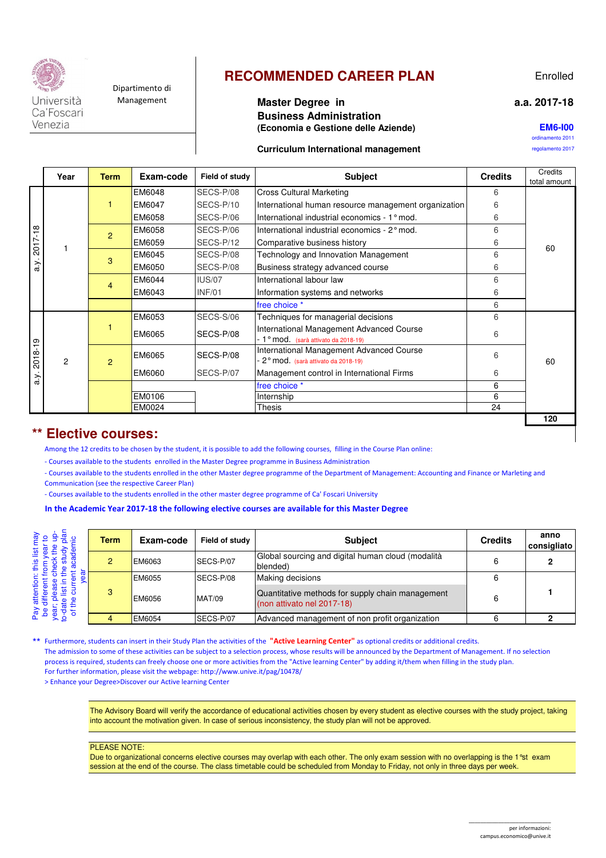

Venezia

Dipartimento di

## **RECOMMENDED CAREER PLAN**

## **a.a. 2017-18**

### Management **Master Degree in Business Administration (Economia e Gestione delle Aziende)**

**EM6-I00**

Enrolled

ordinamento 2011

#### **Curriculum International management Curriculum International management**

| Year<br><b>Term</b> |               | Exam-code      | Field of study | <b>Subject</b> | <b>Credits</b>                                                                   | Credits<br>total amount |     |
|---------------------|---------------|----------------|----------------|----------------|----------------------------------------------------------------------------------|-------------------------|-----|
| 2017-18<br>a y.     |               |                | EM6048         | SECS-P/08      | <b>Cross Cultural Marketing</b>                                                  | 6                       |     |
|                     |               |                | EM6047         | SECS-P/10      | International human resource management organization                             | 6                       |     |
|                     |               |                | EM6058         | SECS-P/06      | International industrial economics - 1° mod.                                     | 6                       |     |
|                     |               | $\overline{2}$ | EM6058         | SECS-P/06      | International industrial economics - 2° mod.                                     | 6                       |     |
|                     |               |                | EM6059         | SECS-P/12      | Comparative business history                                                     | 6                       | 60  |
|                     |               | 3              | EM6045         | SECS-P/08      | Technology and Innovation Management                                             | 6                       |     |
|                     |               |                | EM6050         | SECS-P/08      | Business strategy advanced course                                                | 6                       |     |
|                     |               | $\overline{4}$ | EM6044         | <b>IUS/07</b>  | International labour law                                                         | 6                       |     |
|                     |               |                | EM6043         | <b>INF/01</b>  | Information systems and networks                                                 | 6                       |     |
|                     |               |                |                |                | free choice *                                                                    | 6                       |     |
| 2018-19<br>a.y.     | $\mathcal{P}$ |                | EM6053         | SECS-S/06      | Techniques for managerial decisions                                              | 6                       |     |
|                     |               |                | EM6065         | SECS-P/08      | International Management Advanced Course<br>- 1° mod. (sarà attivato da 2018-19) | 6                       |     |
|                     |               | $\mathcal{P}$  | EM6065         | SECS-P/08      | International Management Advanced Course<br>2° mod. (sarà attivato da 2018-19)   | 6                       | 60  |
|                     |               |                | EM6060         | SECS-P/07      | Management control in International Firms                                        | 6                       |     |
|                     |               |                |                |                | free choice *                                                                    | 6                       |     |
|                     |               |                | EM0106         |                | Internship                                                                       | 6                       |     |
|                     |               |                | EM0024         |                | Thesis                                                                           | 24                      |     |
|                     |               |                |                |                |                                                                                  |                         | 120 |

## **\*\* Elective courses:**

Among the 12 credits to be chosen by the student, it is possible to add the following courses, filling in the Course Plan online:

- Courses available to the students enrolled in the Master Degree programme in Business Administration

- Courses available to the students enrolled in the other Master degree programme of the Department of Management: Accounting and Finance or Marleting and Communication (see the respective Career Plan)

- Courses available to the students enrolled in the other master degree programme of Ca' Foscari University

#### **In the Academic Year 2017-18 the following elective courses are available for this Master Degree**

|         | Term | Exam-code | Field of study | <b>Subject</b>                                                                 | <b>Credits</b> | anno<br>consigliato |
|---------|------|-----------|----------------|--------------------------------------------------------------------------------|----------------|---------------------|
|         |      | EM6063    | SECS-P/07      | Global sourcing and digital human cloud (modalità<br>blended)                  |                |                     |
|         |      | EM6055    | SECS-P/08      | Making decisions                                                               |                |                     |
|         | 3    | EM6056    | <b>MAT/09</b>  | Quantitative methods for supply chain management<br>(non attivato nel 2017-18) |                |                     |
| $\pi$ 8 |      | EM6054    | SECS-P/07      | Advanced management of non profit organization                                 |                |                     |

\*\* Furthermore, students can insert in their Study Plan the activities of the **"Active Learning Center"** as optional credits or additional credits. The admission to some of these activities can be subject to a selection process, whose results will be announced by the Department of Management. If no selection process is required, students can freely choose one or more activities from the "Active learning Center" by adding it/them when filling in the study plan. For further information, please visit the webpage: http://www.unive.it/pag/10478/

> Enhance your Degree>Discover our Active learning Center

The Advisory Board will verify the accordance of educational activities chosen by every student as elective courses with the study project, taking into account the motivation given. In case of serious inconsistency, the study plan will not be approved.

#### PLEASE NOTE:

Due to organizational concerns elective courses may overlap with each other. The only exam session with no overlapping is the 1<sup>e</sup>st exam session at the end of the course. The class timetable could be scheduled from Monday to Friday, not only in three days per week.